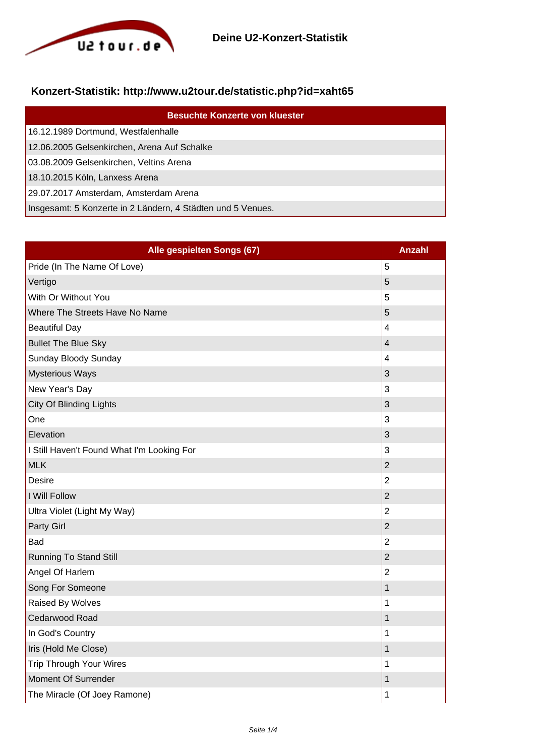

## **Konzert-Statistik: http://www.u2tour.de/statistic.php?id=xaht65**

| <b>Besuchte Konzerte von kluester</b>                       |
|-------------------------------------------------------------|
| 16.12.1989 Dortmund, Westfalenhalle                         |
| 12.06.2005 Gelsenkirchen, Arena Auf Schalke                 |
| 03.08.2009 Gelsenkirchen, Veltins Arena                     |
| 18.10.2015 Köln, Lanxess Arena                              |
| 29.07.2017 Amsterdam, Amsterdam Arena                       |
| Insgesamt: 5 Konzerte in 2 Ländern, 4 Städten und 5 Venues. |

| Alle gespielten Songs (67)                 | <b>Anzahl</b>           |
|--------------------------------------------|-------------------------|
| Pride (In The Name Of Love)                | 5                       |
| Vertigo                                    | 5                       |
| With Or Without You                        | 5                       |
| Where The Streets Have No Name             | 5                       |
| <b>Beautiful Day</b>                       | $\overline{4}$          |
| <b>Bullet The Blue Sky</b>                 | $\overline{\mathbf{4}}$ |
| Sunday Bloody Sunday                       | 4                       |
| <b>Mysterious Ways</b>                     | 3                       |
| New Year's Day                             | 3                       |
| City Of Blinding Lights                    | 3                       |
| One                                        | 3                       |
| Elevation                                  | 3                       |
| I Still Haven't Found What I'm Looking For | 3                       |
| <b>MLK</b>                                 | $\overline{2}$          |
| Desire                                     | $\overline{2}$          |
| I Will Follow                              | $\overline{2}$          |
| Ultra Violet (Light My Way)                | $\overline{2}$          |
| Party Girl                                 | $\overline{2}$          |
| Bad                                        | $\overline{2}$          |
| <b>Running To Stand Still</b>              | $\overline{c}$          |
| Angel Of Harlem                            | $\overline{2}$          |
| Song For Someone                           | $\mathbf{1}$            |
| Raised By Wolves                           | 1                       |
| Cedarwood Road                             | $\mathbf 1$             |
| In God's Country                           | 1                       |
| Iris (Hold Me Close)                       | 1                       |
| <b>Trip Through Your Wires</b>             | 1                       |
| Moment Of Surrender                        | 1                       |
| The Miracle (Of Joey Ramone)               | 1                       |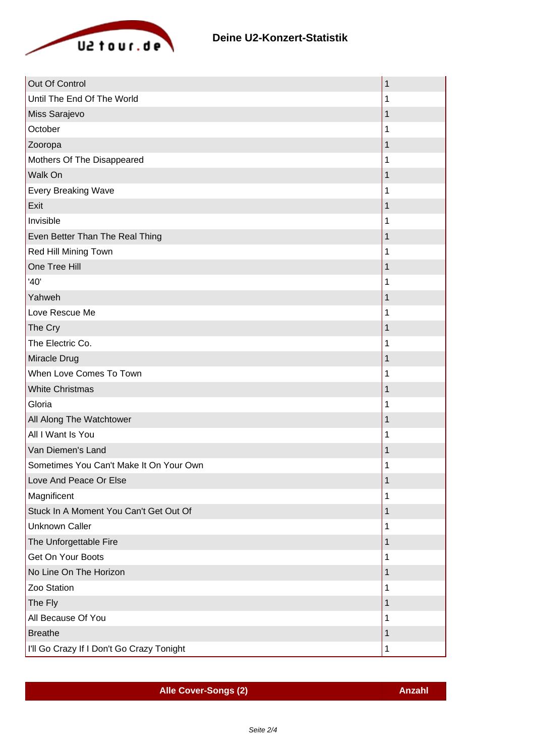

| Out Of Control                            | 1 |
|-------------------------------------------|---|
| Until The End Of The World                | 1 |
| Miss Sarajevo                             | 1 |
| October                                   | 1 |
| Zooropa                                   | 1 |
| Mothers Of The Disappeared                | 1 |
| Walk On                                   | 1 |
| <b>Every Breaking Wave</b>                | 1 |
| Exit                                      | 1 |
| Invisible                                 | 1 |
| Even Better Than The Real Thing           | 1 |
| Red Hill Mining Town                      |   |
| One Tree Hill                             | 1 |
| '40'                                      | 1 |
| Yahweh                                    |   |
| Love Rescue Me                            | 1 |
| The Cry                                   | 1 |
| The Electric Co.                          | 1 |
| Miracle Drug                              | 1 |
| When Love Comes To Town                   | 1 |
| <b>White Christmas</b>                    | 1 |
| Gloria                                    | 1 |
| All Along The Watchtower                  | 1 |
| All I Want Is You                         |   |
| Van Diemen's Land                         | 1 |
| Sometimes You Can't Make It On Your Own   |   |
| Love And Peace Or Else                    | 1 |
| Magnificent                               | 1 |
| Stuck In A Moment You Can't Get Out Of    | 1 |
| <b>Unknown Caller</b>                     | 1 |
| The Unforgettable Fire                    | 1 |
| Get On Your Boots                         | 1 |
| No Line On The Horizon                    | 1 |
| Zoo Station                               | 1 |
| The Fly                                   | 1 |
| All Because Of You                        | 1 |
| <b>Breathe</b>                            | 1 |
| I'll Go Crazy If I Don't Go Crazy Tonight | 1 |

**Alle Cover-Songs (2) Anzahl**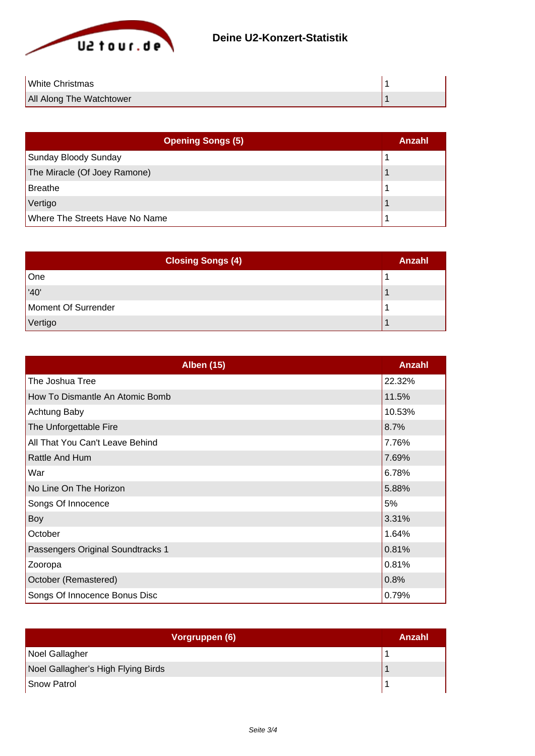

| <b>White Christmas</b>   |  |
|--------------------------|--|
| All Along The Watchtower |  |

| <b>Opening Songs (5)</b>       | Anzahl |
|--------------------------------|--------|
| Sunday Bloody Sunday           |        |
| The Miracle (Of Joey Ramone)   |        |
| Breathe                        |        |
| Vertigo                        |        |
| Where The Streets Have No Name |        |

| <b>Closing Songs (4)</b> | <b>Anzahl</b> |
|--------------------------|---------------|
| One                      |               |
| '40'                     |               |
| Moment Of Surrender      |               |
| Vertigo                  |               |

| <b>Alben (15)</b>                 | <b>Anzahl</b> |
|-----------------------------------|---------------|
| The Joshua Tree                   | 22.32%        |
| How To Dismantle An Atomic Bomb   | 11.5%         |
| <b>Achtung Baby</b>               | 10.53%        |
| The Unforgettable Fire            | 8.7%          |
| All That You Can't Leave Behind   | 7.76%         |
| Rattle And Hum                    | 7.69%         |
| War                               | 6.78%         |
| No Line On The Horizon            | 5.88%         |
| Songs Of Innocence                | 5%            |
| Boy                               | 3.31%         |
| October                           | 1.64%         |
| Passengers Original Soundtracks 1 | 0.81%         |
| Zooropa                           | 0.81%         |
| October (Remastered)              | 0.8%          |
| Songs Of Innocence Bonus Disc     | 0.79%         |

| Vorgruppen (6)                     | Anzahl |
|------------------------------------|--------|
| Noel Gallagher                     |        |
| Noel Gallagher's High Flying Birds |        |
| Snow Patrol                        |        |